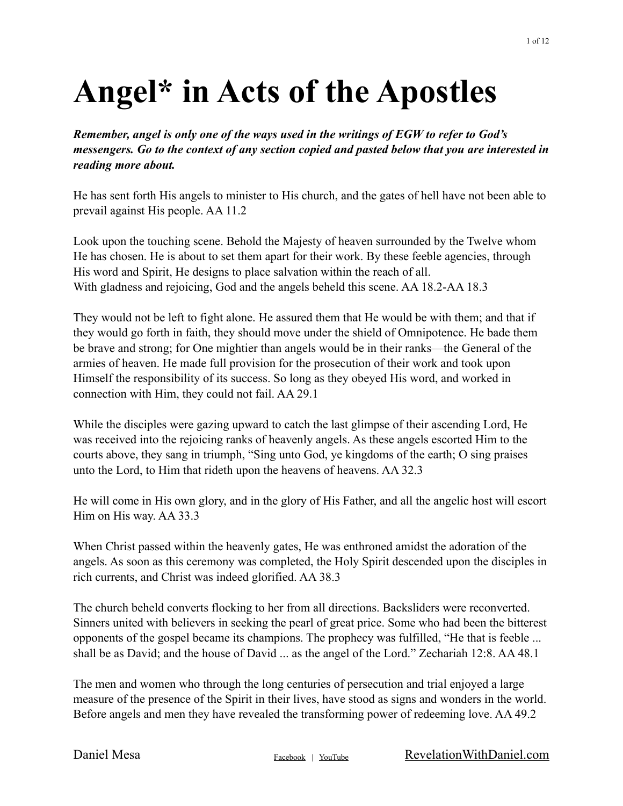## **Angel\* in Acts of the Apostles**

*Remember, angel is only one of the ways used in the writings of EGW to refer to God's messengers. Go to the context of any section copied and pasted below that you are interested in reading more about.* 

He has sent forth His angels to minister to His church, and the gates of hell have not been able to prevail against His people. AA 11.2

Look upon the touching scene. Behold the Majesty of heaven surrounded by the Twelve whom He has chosen. He is about to set them apart for their work. By these feeble agencies, through His word and Spirit, He designs to place salvation within the reach of all. With gladness and rejoicing, God and the angels beheld this scene. AA 18.2-AA 18.3

They would not be left to fight alone. He assured them that He would be with them; and that if they would go forth in faith, they should move under the shield of Omnipotence. He bade them be brave and strong; for One mightier than angels would be in their ranks—the General of the armies of heaven. He made full provision for the prosecution of their work and took upon Himself the responsibility of its success. So long as they obeyed His word, and worked in connection with Him, they could not fail. AA 29.1

While the disciples were gazing upward to catch the last glimpse of their ascending Lord, He was received into the rejoicing ranks of heavenly angels. As these angels escorted Him to the courts above, they sang in triumph, "Sing unto God, ye kingdoms of the earth; O sing praises unto the Lord, to Him that rideth upon the heavens of heavens. AA 32.3

He will come in His own glory, and in the glory of His Father, and all the angelic host will escort Him on His way. AA 33.3

When Christ passed within the heavenly gates, He was enthroned amidst the adoration of the angels. As soon as this ceremony was completed, the Holy Spirit descended upon the disciples in rich currents, and Christ was indeed glorified. AA 38.3

The church beheld converts flocking to her from all directions. Backsliders were reconverted. Sinners united with believers in seeking the pearl of great price. Some who had been the bitterest opponents of the gospel became its champions. The prophecy was fulfilled, "He that is feeble ... shall be as David; and the house of David ... as the angel of the Lord." Zechariah 12:8. AA 48.1

The men and women who through the long centuries of persecution and trial enjoyed a large measure of the presence of the Spirit in their lives, have stood as signs and wonders in the world. Before angels and men they have revealed the transforming power of redeeming love. AA 49.2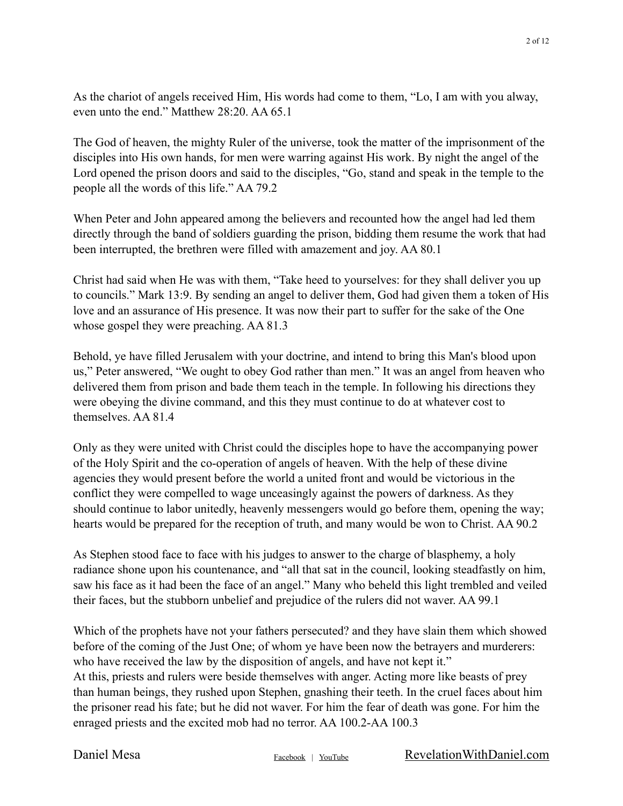As the chariot of angels received Him, His words had come to them, "Lo, I am with you alway, even unto the end." Matthew 28:20. AA 65.1

The God of heaven, the mighty Ruler of the universe, took the matter of the imprisonment of the disciples into His own hands, for men were warring against His work. By night the angel of the Lord opened the prison doors and said to the disciples, "Go, stand and speak in the temple to the people all the words of this life." AA 79.2

When Peter and John appeared among the believers and recounted how the angel had led them directly through the band of soldiers guarding the prison, bidding them resume the work that had been interrupted, the brethren were filled with amazement and joy. AA 80.1

Christ had said when He was with them, "Take heed to yourselves: for they shall deliver you up to councils." Mark 13:9. By sending an angel to deliver them, God had given them a token of His love and an assurance of His presence. It was now their part to suffer for the sake of the One whose gospel they were preaching. AA 81.3

Behold, ye have filled Jerusalem with your doctrine, and intend to bring this Man's blood upon us," Peter answered, "We ought to obey God rather than men." It was an angel from heaven who delivered them from prison and bade them teach in the temple. In following his directions they were obeying the divine command, and this they must continue to do at whatever cost to themselves. AA 81.4

Only as they were united with Christ could the disciples hope to have the accompanying power of the Holy Spirit and the co-operation of angels of heaven. With the help of these divine agencies they would present before the world a united front and would be victorious in the conflict they were compelled to wage unceasingly against the powers of darkness. As they should continue to labor unitedly, heavenly messengers would go before them, opening the way; hearts would be prepared for the reception of truth, and many would be won to Christ. AA 90.2

As Stephen stood face to face with his judges to answer to the charge of blasphemy, a holy radiance shone upon his countenance, and "all that sat in the council, looking steadfastly on him, saw his face as it had been the face of an angel." Many who beheld this light trembled and veiled their faces, but the stubborn unbelief and prejudice of the rulers did not waver. AA 99.1

Which of the prophets have not your fathers persecuted? and they have slain them which showed before of the coming of the Just One; of whom ye have been now the betrayers and murderers: who have received the law by the disposition of angels, and have not kept it." At this, priests and rulers were beside themselves with anger. Acting more like beasts of prey than human beings, they rushed upon Stephen, gnashing their teeth. In the cruel faces about him the prisoner read his fate; but he did not waver. For him the fear of death was gone. For him the enraged priests and the excited mob had no terror. AA 100.2-AA 100.3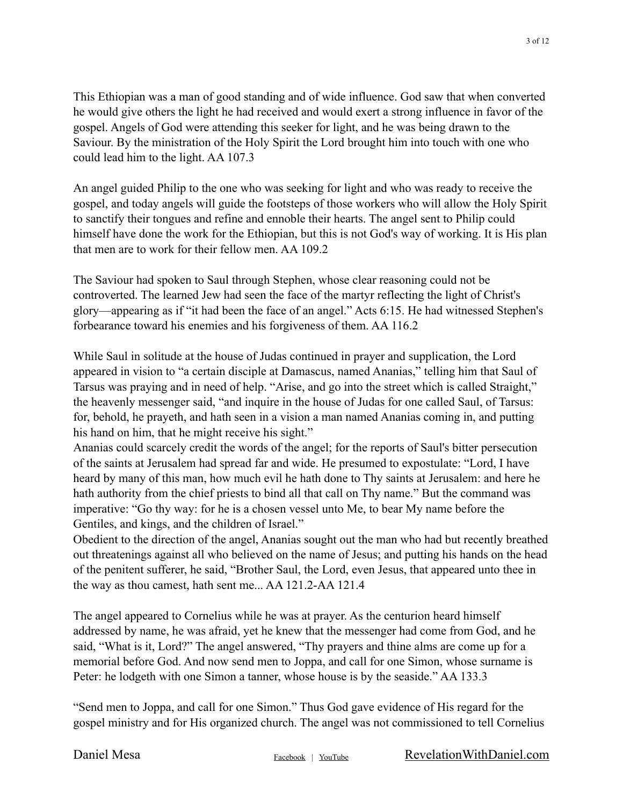This Ethiopian was a man of good standing and of wide influence. God saw that when converted he would give others the light he had received and would exert a strong influence in favor of the gospel. Angels of God were attending this seeker for light, and he was being drawn to the Saviour. By the ministration of the Holy Spirit the Lord brought him into touch with one who could lead him to the light. AA 107.3

An angel guided Philip to the one who was seeking for light and who was ready to receive the gospel, and today angels will guide the footsteps of those workers who will allow the Holy Spirit to sanctify their tongues and refine and ennoble their hearts. The angel sent to Philip could himself have done the work for the Ethiopian, but this is not God's way of working. It is His plan that men are to work for their fellow men. AA 109.2

The Saviour had spoken to Saul through Stephen, whose clear reasoning could not be controverted. The learned Jew had seen the face of the martyr reflecting the light of Christ's glory—appearing as if "it had been the face of an angel." Acts 6:15. He had witnessed Stephen's forbearance toward his enemies and his forgiveness of them. AA 116.2

While Saul in solitude at the house of Judas continued in prayer and supplication, the Lord appeared in vision to "a certain disciple at Damascus, named Ananias," telling him that Saul of Tarsus was praying and in need of help. "Arise, and go into the street which is called Straight," the heavenly messenger said, "and inquire in the house of Judas for one called Saul, of Tarsus: for, behold, he prayeth, and hath seen in a vision a man named Ananias coming in, and putting his hand on him, that he might receive his sight."

Ananias could scarcely credit the words of the angel; for the reports of Saul's bitter persecution of the saints at Jerusalem had spread far and wide. He presumed to expostulate: "Lord, I have heard by many of this man, how much evil he hath done to Thy saints at Jerusalem: and here he hath authority from the chief priests to bind all that call on Thy name." But the command was imperative: "Go thy way: for he is a chosen vessel unto Me, to bear My name before the Gentiles, and kings, and the children of Israel."

Obedient to the direction of the angel, Ananias sought out the man who had but recently breathed out threatenings against all who believed on the name of Jesus; and putting his hands on the head of the penitent sufferer, he said, "Brother Saul, the Lord, even Jesus, that appeared unto thee in the way as thou camest, hath sent me... AA 121.2-AA 121.4

The angel appeared to Cornelius while he was at prayer. As the centurion heard himself addressed by name, he was afraid, yet he knew that the messenger had come from God, and he said, "What is it, Lord?" The angel answered, "Thy prayers and thine alms are come up for a memorial before God. And now send men to Joppa, and call for one Simon, whose surname is Peter: he lodgeth with one Simon a tanner, whose house is by the seaside." AA 133.3

"Send men to Joppa, and call for one Simon." Thus God gave evidence of His regard for the gospel ministry and for His organized church. The angel was not commissioned to tell Cornelius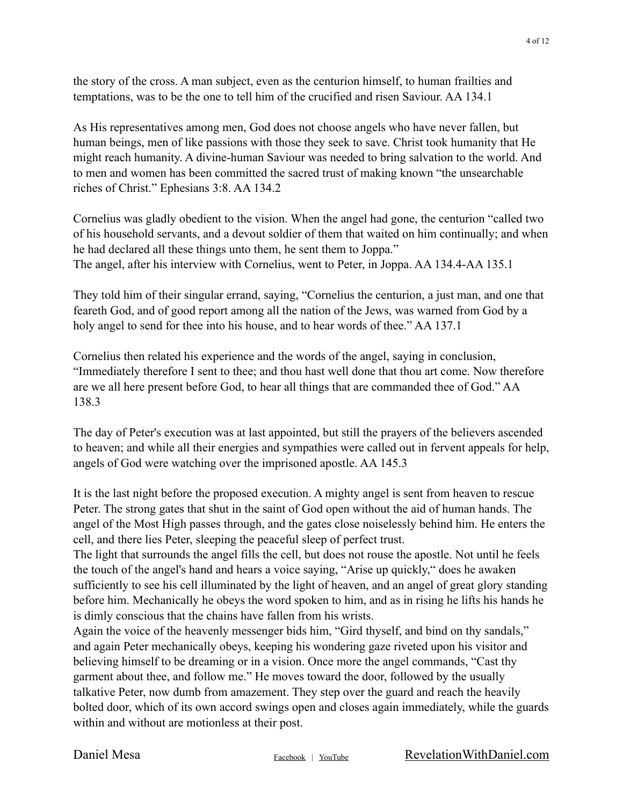the story of the cross. A man subject, even as the centurion himself, to human frailties and temptations, was to be the one to tell him of the crucified and risen Saviour. AA 134.1

As His representatives among men, God does not choose angels who have never fallen, but human beings, men of like passions with those they seek to save. Christ took humanity that He might reach humanity. A divine-human Saviour was needed to bring salvation to the world. And to men and women has been committed the sacred trust of making known "the unsearchable riches of Christ." Ephesians 3:8. AA 134.2

Cornelius was gladly obedient to the vision. When the angel had gone, the centurion "called two of his household servants, and a devout soldier of them that waited on him continually; and when he had declared all these things unto them, he sent them to Joppa." The angel, after his interview with Cornelius, went to Peter, in Joppa. AA 134.4-AA 135.1

They told him of their singular errand, saying, "Cornelius the centurion, a just man, and one that feareth God, and of good report among all the nation of the Jews, was warned from God by a holy angel to send for thee into his house, and to hear words of thee." AA 137.1

Cornelius then related his experience and the words of the angel, saying in conclusion, "Immediately therefore I sent to thee; and thou hast well done that thou art come. Now therefore are we all here present before God, to hear all things that are commanded thee of God." AA 138.3

The day of Peter's execution was at last appointed, but still the prayers of the believers ascended to heaven; and while all their energies and sympathies were called out in fervent appeals for help, angels of God were watching over the imprisoned apostle. AA 145.3

It is the last night before the proposed execution. A mighty angel is sent from heaven to rescue Peter. The strong gates that shut in the saint of God open without the aid of human hands. The angel of the Most High passes through, and the gates close noiselessly behind him. He enters the cell, and there lies Peter, sleeping the peaceful sleep of perfect trust.

The light that surrounds the angel fills the cell, but does not rouse the apostle. Not until he feels the touch of the angel's hand and hears a voice saying, "Arise up quickly," does he awaken sufficiently to see his cell illuminated by the light of heaven, and an angel of great glory standing before him. Mechanically he obeys the word spoken to him, and as in rising he lifts his hands he is dimly conscious that the chains have fallen from his wrists.

Again the voice of the heavenly messenger bids him, "Gird thyself, and bind on thy sandals," and again Peter mechanically obeys, keeping his wondering gaze riveted upon his visitor and believing himself to be dreaming or in a vision. Once more the angel commands, "Cast thy garment about thee, and follow me." He moves toward the door, followed by the usually talkative Peter, now dumb from amazement. They step over the guard and reach the heavily bolted door, which of its own accord swings open and closes again immediately, while the guards within and without are motionless at their post.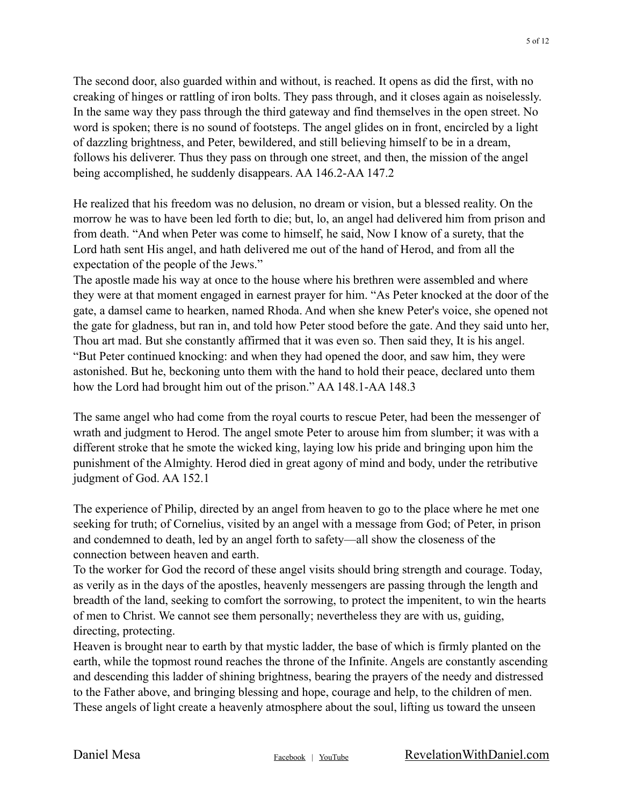The second door, also guarded within and without, is reached. It opens as did the first, with no creaking of hinges or rattling of iron bolts. They pass through, and it closes again as noiselessly. In the same way they pass through the third gateway and find themselves in the open street. No word is spoken; there is no sound of footsteps. The angel glides on in front, encircled by a light of dazzling brightness, and Peter, bewildered, and still believing himself to be in a dream, follows his deliverer. Thus they pass on through one street, and then, the mission of the angel being accomplished, he suddenly disappears. AA 146.2-AA 147.2

He realized that his freedom was no delusion, no dream or vision, but a blessed reality. On the morrow he was to have been led forth to die; but, lo, an angel had delivered him from prison and from death. "And when Peter was come to himself, he said, Now I know of a surety, that the Lord hath sent His angel, and hath delivered me out of the hand of Herod, and from all the expectation of the people of the Jews."

The apostle made his way at once to the house where his brethren were assembled and where they were at that moment engaged in earnest prayer for him. "As Peter knocked at the door of the gate, a damsel came to hearken, named Rhoda. And when she knew Peter's voice, she opened not the gate for gladness, but ran in, and told how Peter stood before the gate. And they said unto her, Thou art mad. But she constantly affirmed that it was even so. Then said they, It is his angel. "But Peter continued knocking: and when they had opened the door, and saw him, they were astonished. But he, beckoning unto them with the hand to hold their peace, declared unto them how the Lord had brought him out of the prison." AA 148.1-AA 148.3

The same angel who had come from the royal courts to rescue Peter, had been the messenger of wrath and judgment to Herod. The angel smote Peter to arouse him from slumber; it was with a different stroke that he smote the wicked king, laying low his pride and bringing upon him the punishment of the Almighty. Herod died in great agony of mind and body, under the retributive judgment of God. AA 152.1

The experience of Philip, directed by an angel from heaven to go to the place where he met one seeking for truth; of Cornelius, visited by an angel with a message from God; of Peter, in prison and condemned to death, led by an angel forth to safety—all show the closeness of the connection between heaven and earth.

To the worker for God the record of these angel visits should bring strength and courage. Today, as verily as in the days of the apostles, heavenly messengers are passing through the length and breadth of the land, seeking to comfort the sorrowing, to protect the impenitent, to win the hearts of men to Christ. We cannot see them personally; nevertheless they are with us, guiding, directing, protecting.

Heaven is brought near to earth by that mystic ladder, the base of which is firmly planted on the earth, while the topmost round reaches the throne of the Infinite. Angels are constantly ascending and descending this ladder of shining brightness, bearing the prayers of the needy and distressed to the Father above, and bringing blessing and hope, courage and help, to the children of men. These angels of light create a heavenly atmosphere about the soul, lifting us toward the unseen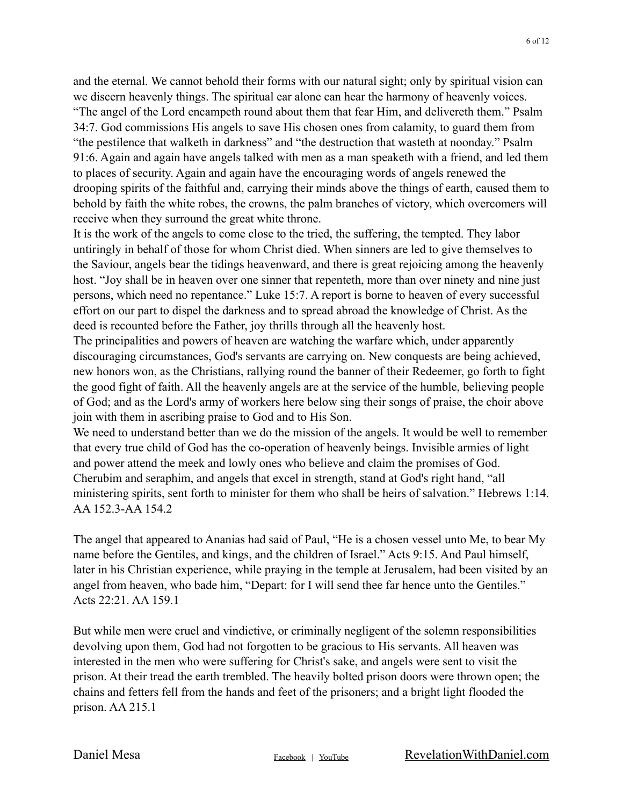and the eternal. We cannot behold their forms with our natural sight; only by spiritual vision can we discern heavenly things. The spiritual ear alone can hear the harmony of heavenly voices. "The angel of the Lord encampeth round about them that fear Him, and delivereth them." Psalm 34:7. God commissions His angels to save His chosen ones from calamity, to guard them from "the pestilence that walketh in darkness" and "the destruction that wasteth at noonday." Psalm 91:6. Again and again have angels talked with men as a man speaketh with a friend, and led them to places of security. Again and again have the encouraging words of angels renewed the drooping spirits of the faithful and, carrying their minds above the things of earth, caused them to behold by faith the white robes, the crowns, the palm branches of victory, which overcomers will receive when they surround the great white throne.

It is the work of the angels to come close to the tried, the suffering, the tempted. They labor untiringly in behalf of those for whom Christ died. When sinners are led to give themselves to the Saviour, angels bear the tidings heavenward, and there is great rejoicing among the heavenly host. "Joy shall be in heaven over one sinner that repenteth, more than over ninety and nine just persons, which need no repentance." Luke 15:7. A report is borne to heaven of every successful effort on our part to dispel the darkness and to spread abroad the knowledge of Christ. As the deed is recounted before the Father, joy thrills through all the heavenly host.

The principalities and powers of heaven are watching the warfare which, under apparently discouraging circumstances, God's servants are carrying on. New conquests are being achieved, new honors won, as the Christians, rallying round the banner of their Redeemer, go forth to fight the good fight of faith. All the heavenly angels are at the service of the humble, believing people of God; and as the Lord's army of workers here below sing their songs of praise, the choir above join with them in ascribing praise to God and to His Son.

We need to understand better than we do the mission of the angels. It would be well to remember that every true child of God has the co-operation of heavenly beings. Invisible armies of light and power attend the meek and lowly ones who believe and claim the promises of God. Cherubim and seraphim, and angels that excel in strength, stand at God's right hand, "all ministering spirits, sent forth to minister for them who shall be heirs of salvation." Hebrews 1:14. AA 152.3-AA 154.2

The angel that appeared to Ananias had said of Paul, "He is a chosen vessel unto Me, to bear My name before the Gentiles, and kings, and the children of Israel." Acts 9:15. And Paul himself, later in his Christian experience, while praying in the temple at Jerusalem, had been visited by an angel from heaven, who bade him, "Depart: for I will send thee far hence unto the Gentiles." Acts 22:21. AA 159.1

But while men were cruel and vindictive, or criminally negligent of the solemn responsibilities devolving upon them, God had not forgotten to be gracious to His servants. All heaven was interested in the men who were suffering for Christ's sake, and angels were sent to visit the prison. At their tread the earth trembled. The heavily bolted prison doors were thrown open; the chains and fetters fell from the hands and feet of the prisoners; and a bright light flooded the prison. AA 215.1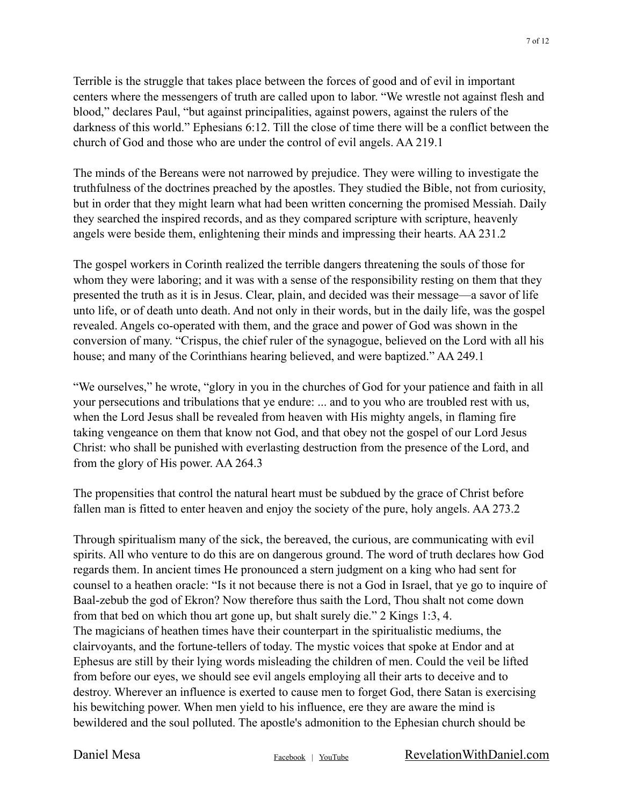Terrible is the struggle that takes place between the forces of good and of evil in important centers where the messengers of truth are called upon to labor. "We wrestle not against flesh and blood," declares Paul, "but against principalities, against powers, against the rulers of the darkness of this world." Ephesians 6:12. Till the close of time there will be a conflict between the church of God and those who are under the control of evil angels. AA 219.1

The minds of the Bereans were not narrowed by prejudice. They were willing to investigate the truthfulness of the doctrines preached by the apostles. They studied the Bible, not from curiosity, but in order that they might learn what had been written concerning the promised Messiah. Daily they searched the inspired records, and as they compared scripture with scripture, heavenly angels were beside them, enlightening their minds and impressing their hearts. AA 231.2

The gospel workers in Corinth realized the terrible dangers threatening the souls of those for whom they were laboring; and it was with a sense of the responsibility resting on them that they presented the truth as it is in Jesus. Clear, plain, and decided was their message—a savor of life unto life, or of death unto death. And not only in their words, but in the daily life, was the gospel revealed. Angels co-operated with them, and the grace and power of God was shown in the conversion of many. "Crispus, the chief ruler of the synagogue, believed on the Lord with all his house; and many of the Corinthians hearing believed, and were baptized." AA 249.1

"We ourselves," he wrote, "glory in you in the churches of God for your patience and faith in all your persecutions and tribulations that ye endure: ... and to you who are troubled rest with us, when the Lord Jesus shall be revealed from heaven with His mighty angels, in flaming fire taking vengeance on them that know not God, and that obey not the gospel of our Lord Jesus Christ: who shall be punished with everlasting destruction from the presence of the Lord, and from the glory of His power. AA 264.3

The propensities that control the natural heart must be subdued by the grace of Christ before fallen man is fitted to enter heaven and enjoy the society of the pure, holy angels. AA 273.2

Through spiritualism many of the sick, the bereaved, the curious, are communicating with evil spirits. All who venture to do this are on dangerous ground. The word of truth declares how God regards them. In ancient times He pronounced a stern judgment on a king who had sent for counsel to a heathen oracle: "Is it not because there is not a God in Israel, that ye go to inquire of Baal-zebub the god of Ekron? Now therefore thus saith the Lord, Thou shalt not come down from that bed on which thou art gone up, but shalt surely die." 2 Kings 1:3, 4. The magicians of heathen times have their counterpart in the spiritualistic mediums, the clairvoyants, and the fortune-tellers of today. The mystic voices that spoke at Endor and at Ephesus are still by their lying words misleading the children of men. Could the veil be lifted from before our eyes, we should see evil angels employing all their arts to deceive and to destroy. Wherever an influence is exerted to cause men to forget God, there Satan is exercising his bewitching power. When men yield to his influence, ere they are aware the mind is bewildered and the soul polluted. The apostle's admonition to the Ephesian church should be

Daniel Mesa [Facebook](http://Facebook.com/RevelationWithDaniel) | [YouTube](https://www.youtube.com/revelationwithdaniel) [RevelationWithDaniel.com](http://RevelationWithDaniel.com)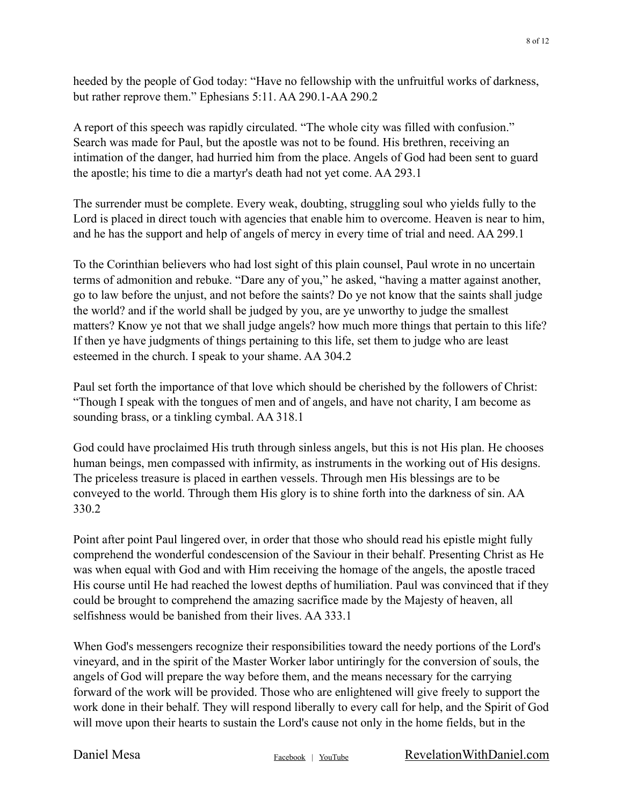heeded by the people of God today: "Have no fellowship with the unfruitful works of darkness, but rather reprove them." Ephesians 5:11. AA 290.1-AA 290.2

A report of this speech was rapidly circulated. "The whole city was filled with confusion." Search was made for Paul, but the apostle was not to be found. His brethren, receiving an intimation of the danger, had hurried him from the place. Angels of God had been sent to guard the apostle; his time to die a martyr's death had not yet come. AA 293.1

The surrender must be complete. Every weak, doubting, struggling soul who yields fully to the Lord is placed in direct touch with agencies that enable him to overcome. Heaven is near to him, and he has the support and help of angels of mercy in every time of trial and need. AA 299.1

To the Corinthian believers who had lost sight of this plain counsel, Paul wrote in no uncertain terms of admonition and rebuke. "Dare any of you," he asked, "having a matter against another, go to law before the unjust, and not before the saints? Do ye not know that the saints shall judge the world? and if the world shall be judged by you, are ye unworthy to judge the smallest matters? Know ye not that we shall judge angels? how much more things that pertain to this life? If then ye have judgments of things pertaining to this life, set them to judge who are least esteemed in the church. I speak to your shame. AA 304.2

Paul set forth the importance of that love which should be cherished by the followers of Christ: "Though I speak with the tongues of men and of angels, and have not charity, I am become as sounding brass, or a tinkling cymbal. AA 318.1

God could have proclaimed His truth through sinless angels, but this is not His plan. He chooses human beings, men compassed with infirmity, as instruments in the working out of His designs. The priceless treasure is placed in earthen vessels. Through men His blessings are to be conveyed to the world. Through them His glory is to shine forth into the darkness of sin. AA 330.2

Point after point Paul lingered over, in order that those who should read his epistle might fully comprehend the wonderful condescension of the Saviour in their behalf. Presenting Christ as He was when equal with God and with Him receiving the homage of the angels, the apostle traced His course until He had reached the lowest depths of humiliation. Paul was convinced that if they could be brought to comprehend the amazing sacrifice made by the Majesty of heaven, all selfishness would be banished from their lives. AA 333.1

When God's messengers recognize their responsibilities toward the needy portions of the Lord's vineyard, and in the spirit of the Master Worker labor untiringly for the conversion of souls, the angels of God will prepare the way before them, and the means necessary for the carrying forward of the work will be provided. Those who are enlightened will give freely to support the work done in their behalf. They will respond liberally to every call for help, and the Spirit of God will move upon their hearts to sustain the Lord's cause not only in the home fields, but in the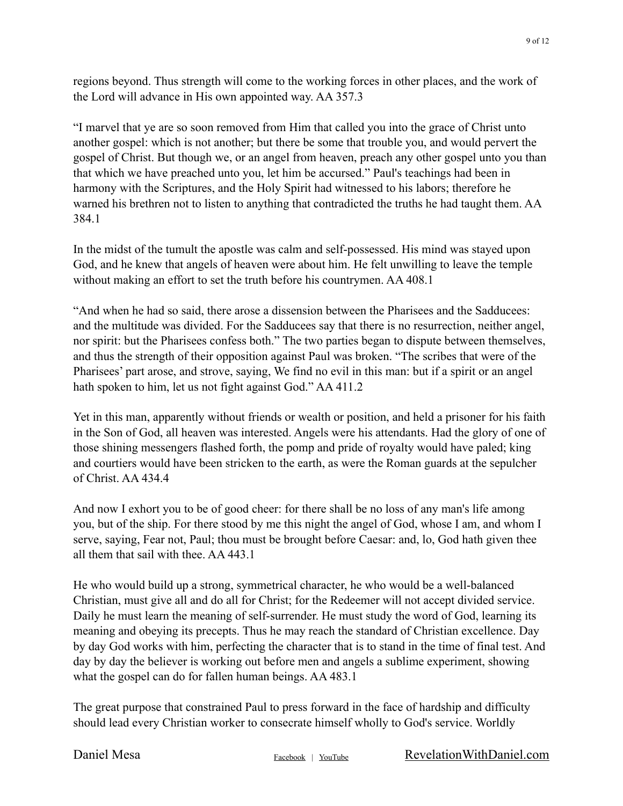regions beyond. Thus strength will come to the working forces in other places, and the work of the Lord will advance in His own appointed way. AA 357.3

"I marvel that ye are so soon removed from Him that called you into the grace of Christ unto another gospel: which is not another; but there be some that trouble you, and would pervert the gospel of Christ. But though we, or an angel from heaven, preach any other gospel unto you than that which we have preached unto you, let him be accursed." Paul's teachings had been in harmony with the Scriptures, and the Holy Spirit had witnessed to his labors; therefore he warned his brethren not to listen to anything that contradicted the truths he had taught them. AA 384.1

In the midst of the tumult the apostle was calm and self-possessed. His mind was stayed upon God, and he knew that angels of heaven were about him. He felt unwilling to leave the temple without making an effort to set the truth before his countrymen. AA 408.1

"And when he had so said, there arose a dissension between the Pharisees and the Sadducees: and the multitude was divided. For the Sadducees say that there is no resurrection, neither angel, nor spirit: but the Pharisees confess both." The two parties began to dispute between themselves, and thus the strength of their opposition against Paul was broken. "The scribes that were of the Pharisees' part arose, and strove, saying, We find no evil in this man: but if a spirit or an angel hath spoken to him, let us not fight against God." AA 411.2

Yet in this man, apparently without friends or wealth or position, and held a prisoner for his faith in the Son of God, all heaven was interested. Angels were his attendants. Had the glory of one of those shining messengers flashed forth, the pomp and pride of royalty would have paled; king and courtiers would have been stricken to the earth, as were the Roman guards at the sepulcher of Christ. AA 434.4

And now I exhort you to be of good cheer: for there shall be no loss of any man's life among you, but of the ship. For there stood by me this night the angel of God, whose I am, and whom I serve, saying, Fear not, Paul; thou must be brought before Caesar: and, lo, God hath given thee all them that sail with thee. AA 443.1

He who would build up a strong, symmetrical character, he who would be a well-balanced Christian, must give all and do all for Christ; for the Redeemer will not accept divided service. Daily he must learn the meaning of self-surrender. He must study the word of God, learning its meaning and obeying its precepts. Thus he may reach the standard of Christian excellence. Day by day God works with him, perfecting the character that is to stand in the time of final test. And day by day the believer is working out before men and angels a sublime experiment, showing what the gospel can do for fallen human beings. AA 483.1

The great purpose that constrained Paul to press forward in the face of hardship and difficulty should lead every Christian worker to consecrate himself wholly to God's service. Worldly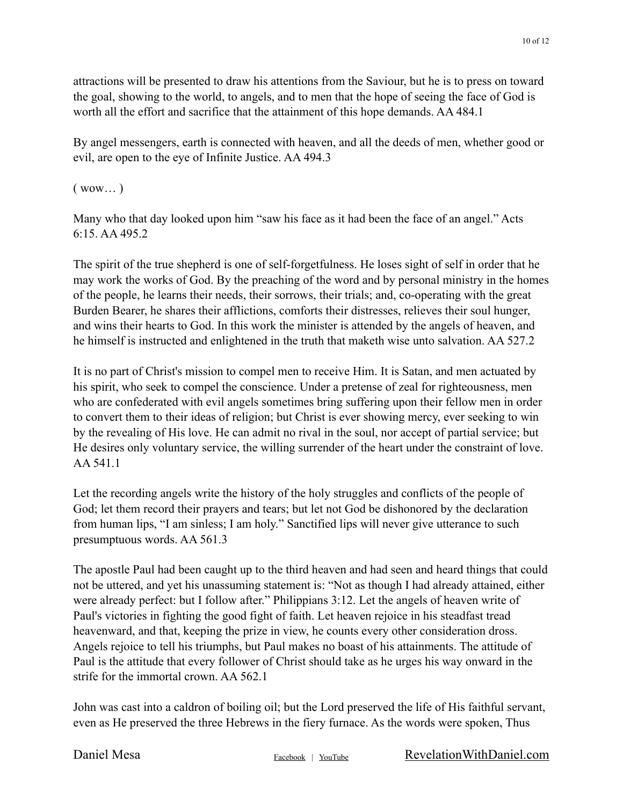attractions will be presented to draw his attentions from the Saviour, but he is to press on toward the goal, showing to the world, to angels, and to men that the hope of seeing the face of God is worth all the effort and sacrifice that the attainment of this hope demands. AA 484.1

By angel messengers, earth is connected with heaven, and all the deeds of men, whether good or evil, are open to the eye of Infinite Justice. AA 494.3

( wow… )

Many who that day looked upon him "saw his face as it had been the face of an angel." Acts 6:15. AA 495.2

The spirit of the true shepherd is one of self-forgetfulness. He loses sight of self in order that he may work the works of God. By the preaching of the word and by personal ministry in the homes of the people, he learns their needs, their sorrows, their trials; and, co-operating with the great Burden Bearer, he shares their afflictions, comforts their distresses, relieves their soul hunger, and wins their hearts to God. In this work the minister is attended by the angels of heaven, and he himself is instructed and enlightened in the truth that maketh wise unto salvation. AA 527.2

It is no part of Christ's mission to compel men to receive Him. It is Satan, and men actuated by his spirit, who seek to compel the conscience. Under a pretense of zeal for righteousness, men who are confederated with evil angels sometimes bring suffering upon their fellow men in order to convert them to their ideas of religion; but Christ is ever showing mercy, ever seeking to win by the revealing of His love. He can admit no rival in the soul, nor accept of partial service; but He desires only voluntary service, the willing surrender of the heart under the constraint of love. AA 541.1

Let the recording angels write the history of the holy struggles and conflicts of the people of God; let them record their prayers and tears; but let not God be dishonored by the declaration from human lips, "I am sinless; I am holy." Sanctified lips will never give utterance to such presumptuous words. AA 561.3

The apostle Paul had been caught up to the third heaven and had seen and heard things that could not be uttered, and yet his unassuming statement is: "Not as though I had already attained, either were already perfect: but I follow after." Philippians 3:12. Let the angels of heaven write of Paul's victories in fighting the good fight of faith. Let heaven rejoice in his steadfast tread heavenward, and that, keeping the prize in view, he counts every other consideration dross. Angels rejoice to tell his triumphs, but Paul makes no boast of his attainments. The attitude of Paul is the attitude that every follower of Christ should take as he urges his way onward in the strife for the immortal crown. AA 562.1

John was cast into a caldron of boiling oil; but the Lord preserved the life of His faithful servant, even as He preserved the three Hebrews in the fiery furnace. As the words were spoken, Thus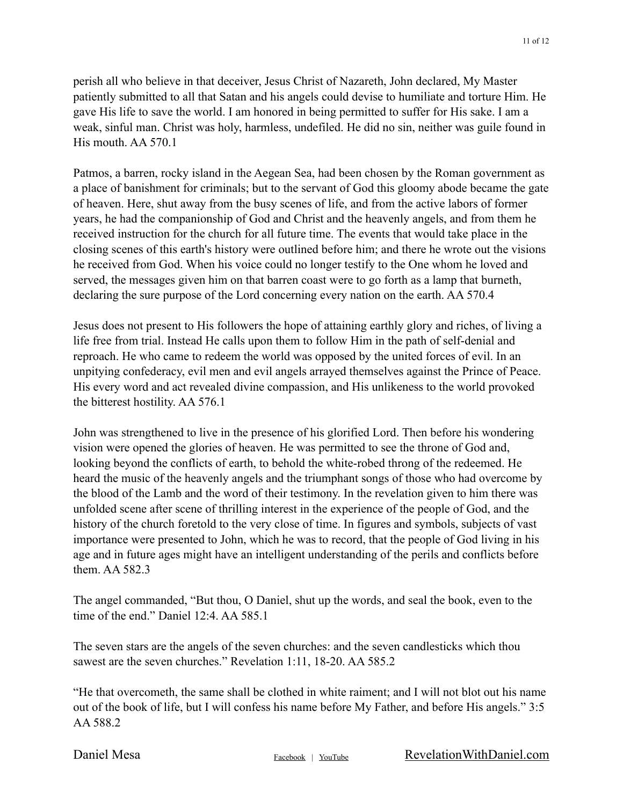perish all who believe in that deceiver, Jesus Christ of Nazareth, John declared, My Master patiently submitted to all that Satan and his angels could devise to humiliate and torture Him. He gave His life to save the world. I am honored in being permitted to suffer for His sake. I am a weak, sinful man. Christ was holy, harmless, undefiled. He did no sin, neither was guile found in His mouth. AA 570.1

Patmos, a barren, rocky island in the Aegean Sea, had been chosen by the Roman government as a place of banishment for criminals; but to the servant of God this gloomy abode became the gate of heaven. Here, shut away from the busy scenes of life, and from the active labors of former years, he had the companionship of God and Christ and the heavenly angels, and from them he received instruction for the church for all future time. The events that would take place in the closing scenes of this earth's history were outlined before him; and there he wrote out the visions he received from God. When his voice could no longer testify to the One whom he loved and served, the messages given him on that barren coast were to go forth as a lamp that burneth, declaring the sure purpose of the Lord concerning every nation on the earth. AA 570.4

Jesus does not present to His followers the hope of attaining earthly glory and riches, of living a life free from trial. Instead He calls upon them to follow Him in the path of self-denial and reproach. He who came to redeem the world was opposed by the united forces of evil. In an unpitying confederacy, evil men and evil angels arrayed themselves against the Prince of Peace. His every word and act revealed divine compassion, and His unlikeness to the world provoked the bitterest hostility. AA 576.1

John was strengthened to live in the presence of his glorified Lord. Then before his wondering vision were opened the glories of heaven. He was permitted to see the throne of God and, looking beyond the conflicts of earth, to behold the white-robed throng of the redeemed. He heard the music of the heavenly angels and the triumphant songs of those who had overcome by the blood of the Lamb and the word of their testimony. In the revelation given to him there was unfolded scene after scene of thrilling interest in the experience of the people of God, and the history of the church foretold to the very close of time. In figures and symbols, subjects of vast importance were presented to John, which he was to record, that the people of God living in his age and in future ages might have an intelligent understanding of the perils and conflicts before them. AA 582.3

The angel commanded, "But thou, O Daniel, shut up the words, and seal the book, even to the time of the end." Daniel 12:4. AA 585.1

The seven stars are the angels of the seven churches: and the seven candlesticks which thou sawest are the seven churches." Revelation 1:11, 18-20. AA 585.2

"He that overcometh, the same shall be clothed in white raiment; and I will not blot out his name out of the book of life, but I will confess his name before My Father, and before His angels." 3:5 AA 588.2

Daniel Mesa [Facebook](http://Facebook.com/RevelationWithDaniel) | [YouTube](https://www.youtube.com/revelationwithdaniel) [RevelationWithDaniel.com](http://RevelationWithDaniel.com)